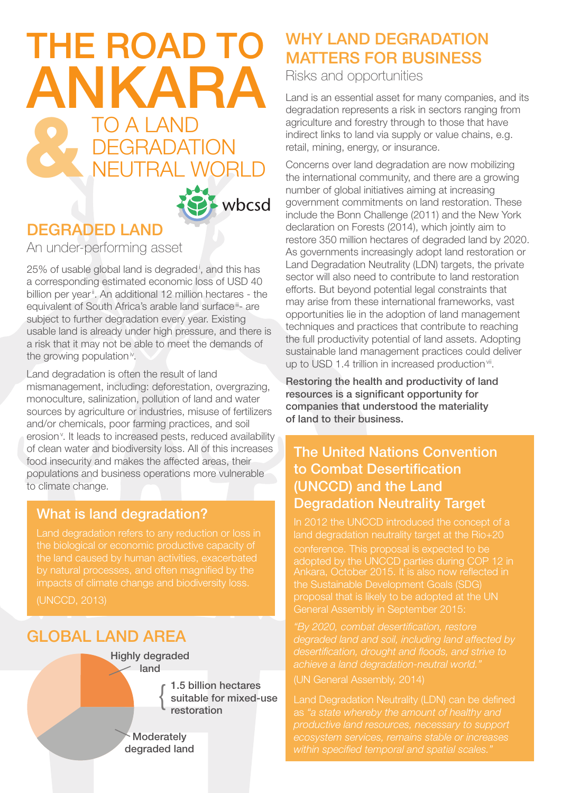# THE ROAD TO ANKARA **TO A LAND EGRADATION FUTRAL WORLD**



# DEGRADED LAND

An under-performing asset

25% of usable global land is degraded<sup>i</sup>, and this has a corresponding estimated economic loss of USD 40 billion per year<sup>ii</sup>. An additional 12 million hectares - the equivalent of South Africa's arable land surface<sup>iii</sup>- are subject to further degradation every year. Existing usable land is already under high pressure, and there is a risk that it may not be able to meet the demands of the growing population<sup>iv</sup>.

Land degradation is often the result of land mismanagement, including: deforestation, overgrazing, monoculture, salinization, pollution of land and water sources by agriculture or industries, misuse of fertilizers and/or chemicals, poor farming practices, and soil erosion<sup>v</sup>. It leads to increased pests, reduced availability of clean water and biodiversity loss. All of this increases food insecurity and makes the affected areas, their populations and business operations more vulnerable to climate change.

## What is land degradation?

Land degradation refers to any reduction or loss in the biological or economic productive capacity of the land caused by human activities, exacerbated

## Global land area

1.5 billion hectares Highly degraded land  $\left\{ \right.$ 

suitable for mixed-use restoration

**Moderately** degraded land

# WHY LAND DEGRADATION MATTERS FOR BUSINESS

Risks and opportunities

Land is an essential asset for many companies, and its degradation represents a risk in sectors ranging from agriculture and forestry through to those that have indirect links to land via supply or value chains, e.g. retail, mining, energy, or insurance.

Concerns over land degradation are now mobilizing the international community, and there are a growing number of global initiatives aiming at increasing government commitments on land restoration. These include the Bonn Challenge (2011) and the New York declaration on Forests (2014), which jointly aim to restore 350 million hectares of degraded land by 2020. As governments increasingly adopt land restoration or Land Degradation Neutrality (LDN) targets, the private sector will also need to contribute to land restoration efforts. But beyond potential legal constraints that may arise from these international frameworks, vast opportunities lie in the adoption of land management techniques and practices that contribute to reaching the full productivity potential of land assets. Adopting sustainable land management practices could deliver up to USD 1.4 trillion in increased production<sup>vii</sup>.

Restoring the health and productivity of land resources is a significant opportunity for companies that understood the materiality of land to their business.

## The United Nations Convention to Combat Desertification (UNCCD) and the Land Degradation Neutrality Target

In 2012 the UNCCD introduced the concept of a land degradation neutrality target at the Rio+20

Ankara, October 2015. It is also now reflected in the Sustainable Development Goals (SDG) proposal that is likely to be adopted at the UN General Assembly in September 2015:

*"By 2020, combat desertification, restore achieve a land degradation-neutral world."* (UN General Assembly, 2014)

Land Degradation Neutrality (LDN) can be defined *ecosystem services, remains stable or increases within specified temporal and spatial scales."*